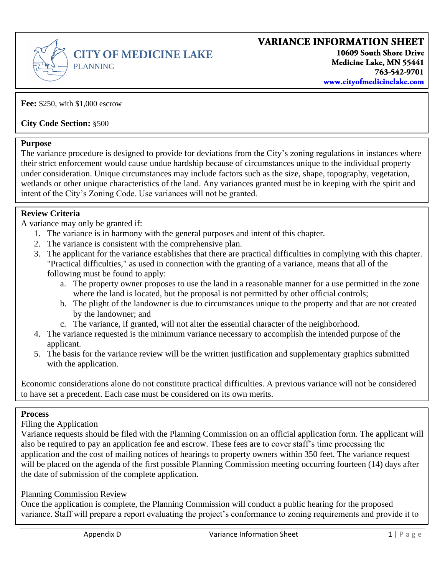

**Fee:** \$250, with \$1,000 escrow

**City Code Section:** §500

### **Purpose**

The variance procedure is designed to provide for deviations from the City's zoning regulations in instances where their strict enforcement would cause undue hardship because of circumstances unique to the individual property under consideration. Unique circumstances may include factors such as the size, shape, topography, vegetation, wetlands or other unique characteristics of the land. Any variances granted must be in keeping with the spirit and intent of the City's Zoning Code. Use variances will not be granted.

### **Review Criteria**

A variance may only be granted if:

- 1. The variance is in harmony with the general purposes and intent of this chapter.
- 2. The variance is consistent with the comprehensive plan.
- 3. The applicant for the variance establishes that there are practical difficulties in complying with this chapter. "Practical difficulties," as used in connection with the granting of a variance, means that all of the following must be found to apply:
	- a. The property owner proposes to use the land in a reasonable manner for a use permitted in the zone where the land is located, but the proposal is not permitted by other official controls;
	- b. The plight of the landowner is due to circumstances unique to the property and that are not created by the landowner; and
	- c. The variance, if granted, will not alter the essential character of the neighborhood.
- 4. The variance requested is the minimum variance necessary to accomplish the intended purpose of the applicant.
- 5. The basis for the variance review will be the written justification and supplementary graphics submitted with the application.

Economic considerations alone do not constitute practical difficulties. A previous variance will not be considered to have set a precedent. Each case must be considered on its own merits.

### **Process**

Filing the Application

Variance requests should be filed with the Planning Commission on an official application form. The applicant will also be required to pay an application fee and escrow. These fees are to cover staff's time processing the application and the cost of mailing notices of hearings to property owners within 350 feet. The variance request will be placed on the agenda of the first possible Planning Commission meeting occurring fourteen (14) days after the date of submission of the complete application.

#### Planning Commission Review

Once the application is complete, the Planning Commission will conduct a public hearing for the proposed variance. Staff will prepare a report evaluating the project's conformance to zoning requirements and provide it to